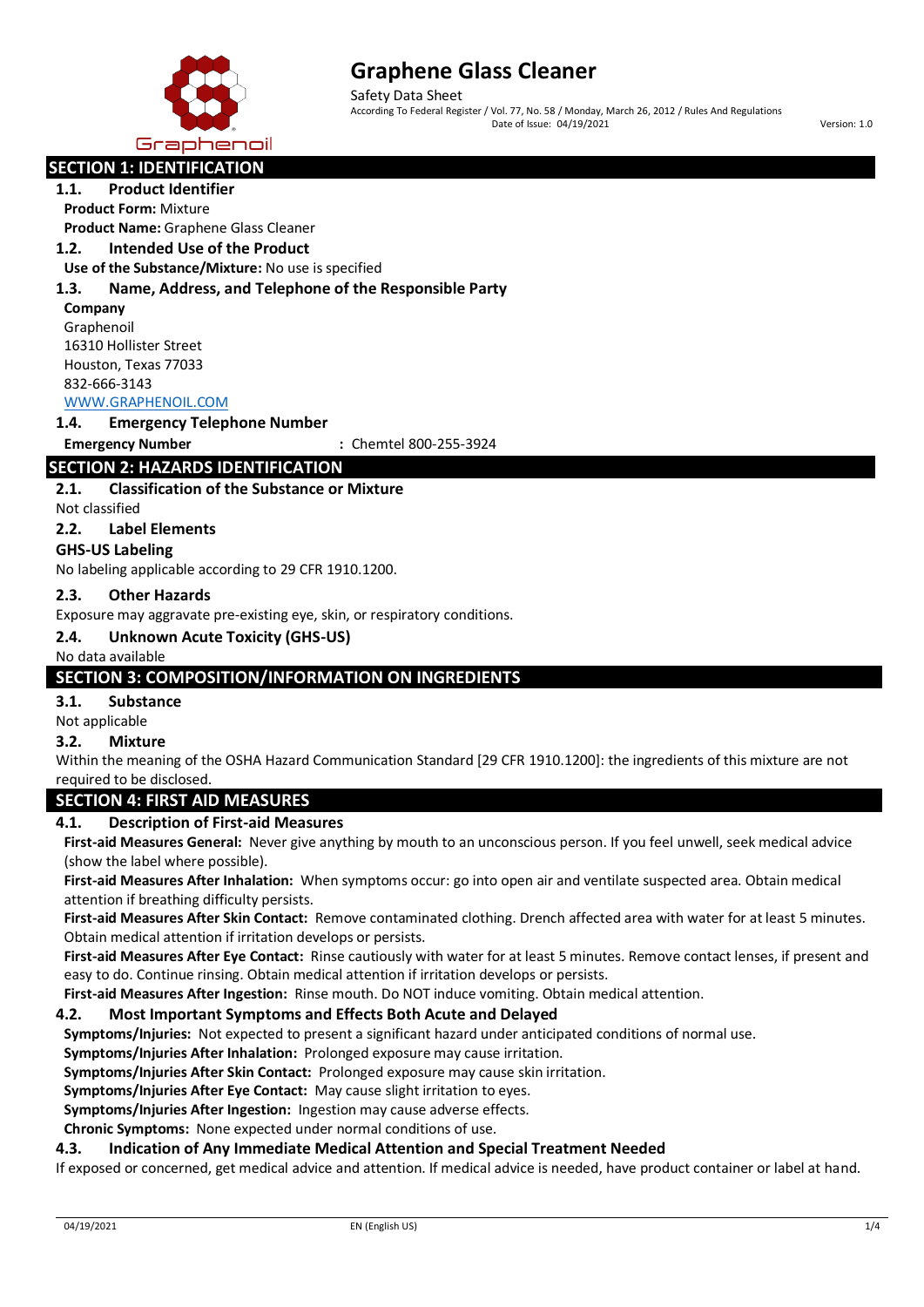

Safety Data Sheet According To Federal Register / Vol. 77, No. 58 / Monday, March 26, 2012 / Rules And Regulations Date of Issue: 04/19/2021 Version: 1.0

# **SECTION 1: IDENTIFICATION**

#### **1.1. Product Identifier**

**Product Form:** Mixture

**Product Name:** Graphene Glass Cleaner

## **1.2. Intended Use of the Product**

**Use of the Substance/Mixture:** No use is specified

#### **1.3. Name, Address, and Telephone of the Responsible Party**

**Company**

Graphenoil 16310 Hollister Street Houston, Texas 77033 832-666-3143 [WWW.GRAPHENOIL.COM](http://www.graphenoil.com/)

#### **1.4. Emergency Telephone Number**

**Emergency Number :** Chemtel 800-255-3924

# **SECTION 2: HAZARDS IDENTIFICATION**

## **2.1. Classification of the Substance or Mixture**

Not classified

## **2.2. Label Elements**

#### **GHS-US Labeling**

No labeling applicable according to 29 CFR 1910.1200.

#### **2.3. Other Hazards**

Exposure may aggravate pre-existing eye, skin, or respiratory conditions.

#### **2.4. Unknown Acute Toxicity (GHS-US)**

#### No data available

## **SECTION 3: COMPOSITION/INFORMATION ON INGREDIENTS**

**3.1. Substance**

#### Not applicable

#### **3.2. Mixture**

Within the meaning of the OSHA Hazard Communication Standard [29 CFR 1910.1200]: the ingredients of this mixture are not required to be disclosed.

# **SECTION 4: FIRST AID MEASURES**

#### **4.1. Description of First-aid Measures**

**First-aid Measures General:** Never give anything by mouth to an unconscious person. If you feel unwell, seek medical advice (show the label where possible).

**First-aid Measures After Inhalation:** When symptoms occur: go into open air and ventilate suspected area. Obtain medical attention if breathing difficulty persists.

**First-aid Measures After Skin Contact:** Remove contaminated clothing. Drench affected area with water for at least 5 minutes. Obtain medical attention if irritation develops or persists.

**First-aid Measures After Eye Contact:** Rinse cautiously with water for at least 5 minutes. Remove contact lenses, if present and easy to do. Continue rinsing. Obtain medical attention if irritation develops or persists.

**First-aid Measures After Ingestion:** Rinse mouth. Do NOT induce vomiting. Obtain medical attention.

#### **4.2. Most Important Symptoms and Effects Both Acute and Delayed**

**Symptoms/Injuries:** Not expected to present a significant hazard under anticipated conditions of normal use.

**Symptoms/Injuries After Inhalation:** Prolonged exposure may cause irritation.

**Symptoms/Injuries After Skin Contact:** Prolonged exposure may cause skin irritation.

**Symptoms/Injuries After Eye Contact:** May cause slight irritation to eyes.

**Symptoms/Injuries After Ingestion:** Ingestion may cause adverse effects.

**Chronic Symptoms:** None expected under normal conditions of use.

# **4.3. Indication of Any Immediate Medical Attention and Special Treatment Needed**

If exposed or concerned, get medical advice and attention. If medical advice is needed, have product container or label at hand.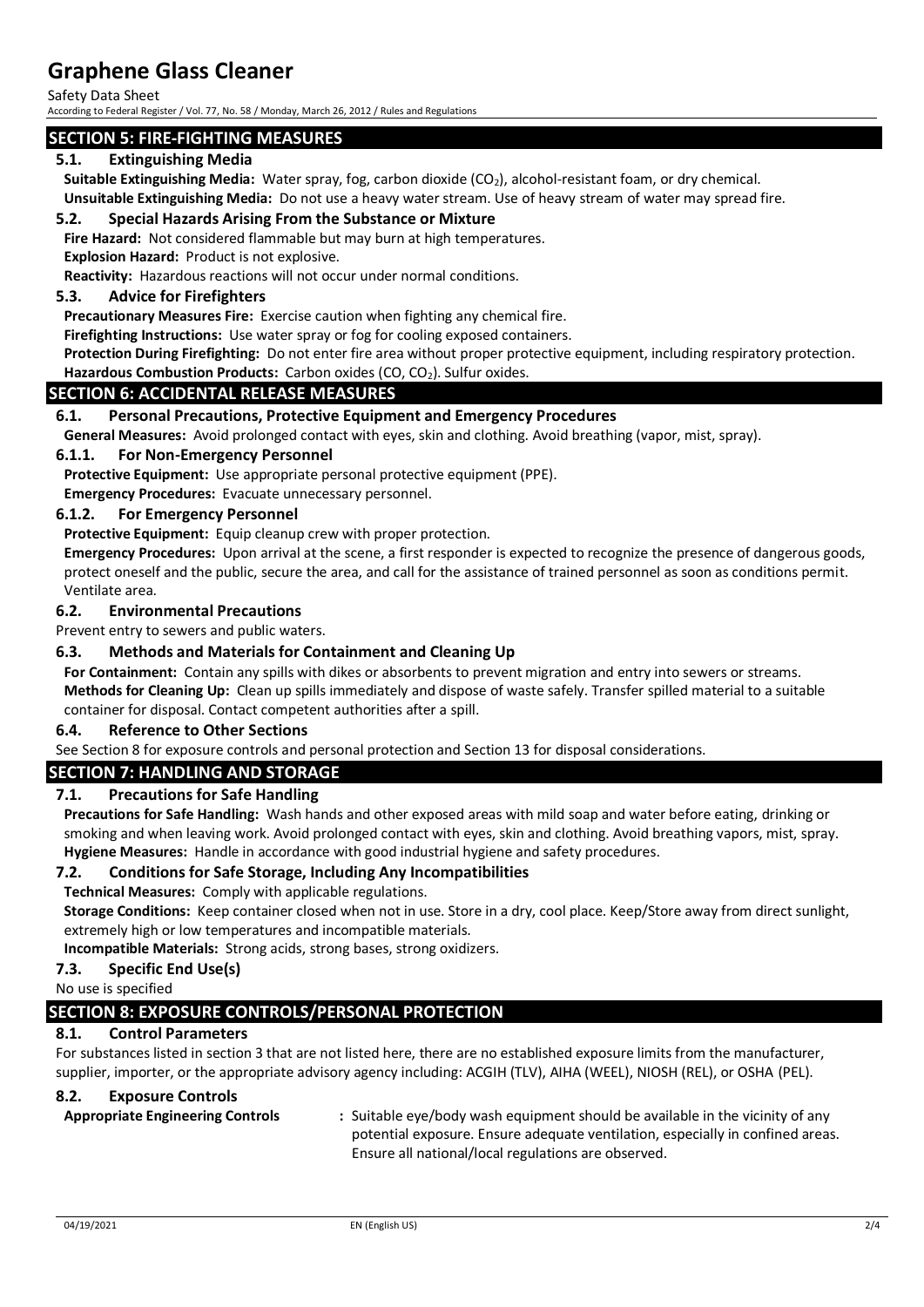Safety Data Sheet

According to Federal Register / Vol. 77, No. 58 / Monday, March 26, 2012 / Rules and Regulations

## **SECTION 5: FIRE-FIGHTING MEASURES**

## **5.1. Extinguishing Media**

Suitable Extinguishing Media: Water spray, fog, carbon dioxide (CO<sub>2</sub>), alcohol-resistant foam, or dry chemical.

**Unsuitable Extinguishing Media:** Do not use a heavy water stream. Use of heavy stream of water may spread fire.

#### **5.2. Special Hazards Arising From the Substance or Mixture**

**Fire Hazard:** Not considered flammable but may burn at high temperatures.

**Explosion Hazard:** Product is not explosive.

**Reactivity:** Hazardous reactions will not occur under normal conditions.

## **5.3. Advice for Firefighters**

**Precautionary Measures Fire:** Exercise caution when fighting any chemical fire.

**Firefighting Instructions:** Use water spray or fog for cooling exposed containers.

**Protection During Firefighting:** Do not enter fire area without proper protective equipment, including respiratory protection.

# Hazardous Combustion Products: Carbon oxides (CO, CO<sub>2</sub>). Sulfur oxides.

### **SECTION 6: ACCIDENTAL RELEASE MEASURES**

### **6.1. Personal Precautions, Protective Equipment and Emergency Procedures**

**General Measures:** Avoid prolonged contact with eyes, skin and clothing. Avoid breathing (vapor, mist, spray).

#### **6.1.1. For Non-Emergency Personnel**

**Protective Equipment:** Use appropriate personal protective equipment (PPE).

**Emergency Procedures:** Evacuate unnecessary personnel.

#### **6.1.2. For Emergency Personnel**

**Protective Equipment:** Equip cleanup crew with proper protection.

**Emergency Procedures:** Upon arrival at the scene, a first responder is expected to recognize the presence of dangerous goods, protect oneself and the public, secure the area, and call for the assistance of trained personnel as soon as conditions permit. Ventilate area.

#### **6.2. Environmental Precautions**

Prevent entry to sewers and public waters.

### **6.3. Methods and Materials for Containment and Cleaning Up**

**For Containment:** Contain any spills with dikes or absorbents to prevent migration and entry into sewers or streams. **Methods for Cleaning Up:** Clean up spills immediately and dispose of waste safely. Transfer spilled material to a suitable container for disposal. Contact competent authorities after a spill.

#### **6.4. Reference to Other Sections**

See Section 8 for exposure controls and personal protection and Section 13 for disposal considerations.

## **SECTION 7: HANDLING AND STORAGE**

#### **7.1. Precautions for Safe Handling**

**Precautions for Safe Handling:** Wash hands and other exposed areas with mild soap and water before eating, drinking or smoking and when leaving work. Avoid prolonged contact with eyes, skin and clothing. Avoid breathing vapors, mist, spray. **Hygiene Measures:** Handle in accordance with good industrial hygiene and safety procedures.

#### **7.2. Conditions for Safe Storage, Including Any Incompatibilities**

**Technical Measures:** Comply with applicable regulations.

**Storage Conditions:** Keep container closed when not in use. Store in a dry, cool place. Keep/Store away from direct sunlight, extremely high or low temperatures and incompatible materials.

**Incompatible Materials:** Strong acids, strong bases, strong oxidizers.

## **7.3. Specific End Use(s)**

No use is specified

# **SECTION 8: EXPOSURE CONTROLS/PERSONAL PROTECTION**

## **8.1. Control Parameters**

For substances listed in section 3 that are not listed here, there are no established exposure limits from the manufacturer, supplier, importer, or the appropriate advisory agency including: ACGIH (TLV), AIHA (WEEL), NIOSH (REL), or OSHA (PEL).

#### **8.2. Exposure Controls**

**Appropriate Engineering Controls :** Suitable eye/body wash equipment should be available in the vicinity of any potential exposure. Ensure adequate ventilation, especially in confined areas. Ensure all national/local regulations are observed.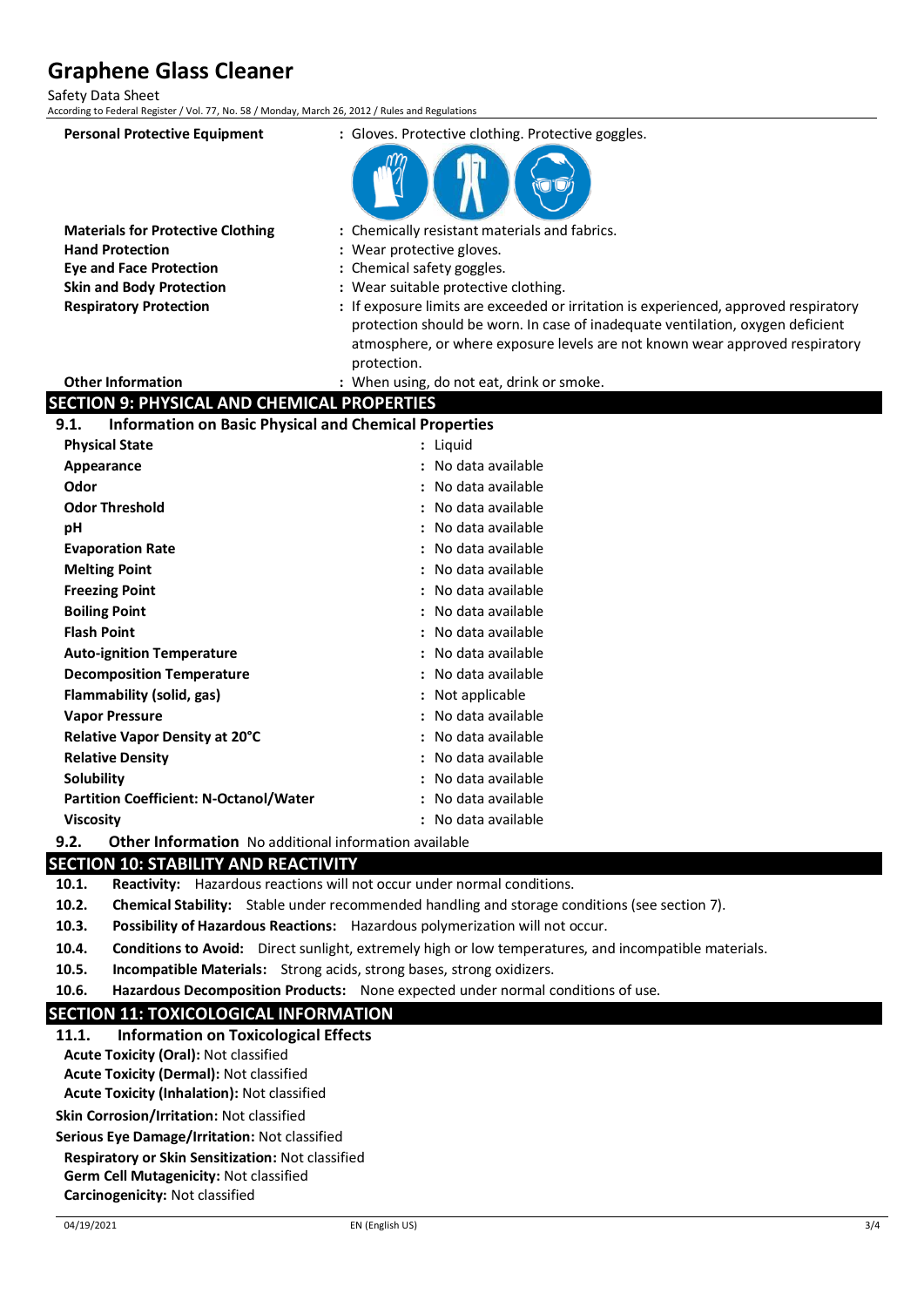Safety Data Sheet

According to Federal Register / Vol. 77, No. 58 / Monday, March 26, 2012 / Rules and Regulation

| According to rederar Register / Vol. 77, NO. 38 / Monday, March 20, 2012 / Rules and Regulations |                                                                                      |
|--------------------------------------------------------------------------------------------------|--------------------------------------------------------------------------------------|
| <b>Personal Protective Equipment</b>                                                             | : Gloves. Protective clothing. Protective goggles.                                   |
|                                                                                                  |                                                                                      |
| <b>Materials for Protective Clothing</b>                                                         | : Chemically resistant materials and fabrics.                                        |
| <b>Hand Protection</b>                                                                           | : Wear protective gloves.                                                            |
| <b>Eye and Face Protection</b>                                                                   | : Chemical safety goggles.                                                           |
| <b>Skin and Body Protection</b>                                                                  | : Wear suitable protective clothing.                                                 |
| <b>Respiratory Protection</b>                                                                    | : If exposure limits are exceeded or irritation is experienced, approved respiratory |
|                                                                                                  | protection should be worn. In case of inadequate ventilation, oxygen deficient       |
|                                                                                                  | atmosphere, or where exposure levels are not known wear approved respiratory         |
| <b>Other Information</b>                                                                         | protection.                                                                          |
| <b>SECTION 9: PHYSICAL AND CHEMICAL PROPERTIES</b>                                               | : When using, do not eat, drink or smoke.                                            |
| <b>Information on Basic Physical and Chemical Properties</b><br>9.1.                             |                                                                                      |
| <b>Physical State</b>                                                                            | : Liquid                                                                             |
| Appearance                                                                                       | : No data available                                                                  |
| Odor                                                                                             | No data available                                                                    |
| <b>Odor Threshold</b>                                                                            | : No data available                                                                  |
|                                                                                                  | : No data available                                                                  |
| рH                                                                                               | No data available                                                                    |
| <b>Evaporation Rate</b><br><b>Melting Point</b>                                                  | No data available                                                                    |
| <b>Freezing Point</b>                                                                            | No data available                                                                    |
| <b>Boiling Point</b>                                                                             | : No data available                                                                  |
| <b>Flash Point</b>                                                                               | : No data available                                                                  |
|                                                                                                  | No data available                                                                    |
| <b>Auto-ignition Temperature</b>                                                                 |                                                                                      |
| <b>Decomposition Temperature</b>                                                                 | No data available                                                                    |
| Flammability (solid, gas)                                                                        | : Not applicable                                                                     |
| <b>Vapor Pressure</b>                                                                            | No data available                                                                    |
| Relative Vapor Density at 20°C                                                                   | No data available                                                                    |
| <b>Relative Density</b>                                                                          | No data available                                                                    |
| Solubility                                                                                       | No data available                                                                    |
| <b>Partition Coefficient: N-Octanol/Water</b>                                                    | : No data available                                                                  |
| <b>Viscosity</b>                                                                                 | : No data available                                                                  |
| 9.2.<br><b>Other Information</b> No additional information available                             |                                                                                      |

# **SECTION 10: STABILITY AND REACTIVITY**

**10.1. Reactivity:** Hazardous reactions will not occur under normal conditions.

- **10.2. Chemical Stability:** Stable under recommended handling and storage conditions (see section 7).
- **10.3. Possibility of Hazardous Reactions:** Hazardous polymerization will not occur.
- **10.4. Conditions to Avoid:** Direct sunlight, extremely high or low temperatures, and incompatible materials.
- **10.5. Incompatible Materials:** Strong acids, strong bases, strong oxidizers.
- **10.6. Hazardous Decomposition Products:** None expected under normal conditions of use.

# **SECTION 11: TOXICOLOGICAL INFORMATION**

- **11.1. Information on Toxicological Effects**
- **Acute Toxicity (Oral):** Not classified
- **Acute Toxicity (Dermal):** Not classified **Acute Toxicity (Inhalation):** Not classified

**Skin Corrosion/Irritation:** Not classified

**Serious Eye Damage/Irritation:** Not classified

# **Respiratory or Skin Sensitization:** Not classified

**Germ Cell Mutagenicity:** Not classified